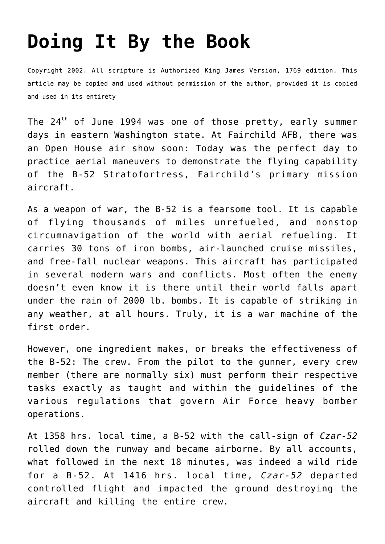## **[Doing It By the Book](http://reproachofmen.org/spiritualwar/doing-it-by-the-book/)**

Copyright 2002. All scripture is Authorized King James Version, 1769 edition. This article may be copied and used without permission of the author, provided it is copied and used in its entirety

The  $24<sup>th</sup>$  of June 1994 was one of those pretty, early summer days in eastern Washington state. At Fairchild AFB, there was an Open House air show soon: Today was the perfect day to practice aerial maneuvers to demonstrate the flying capability of the B-52 Stratofortress, Fairchild's primary mission aircraft.

As a weapon of war, the B-52 is a fearsome tool. It is capable of flying thousands of miles unrefueled, and nonstop circumnavigation of the world with aerial refueling. It carries 30 tons of iron bombs, air-launched cruise missiles, and free-fall nuclear weapons. This aircraft has participated in several modern wars and conflicts. Most often the enemy doesn't even know it is there until their world falls apart under the rain of 2000 lb. bombs. It is capable of striking in any weather, at all hours. Truly, it is a war machine of the first order.

However, one ingredient makes, or breaks the effectiveness of the B-52: The crew. From the pilot to the gunner, every crew member (there are normally six) must perform their respective tasks exactly as taught and within the guidelines of the various regulations that govern Air Force heavy bomber operations.

At 1358 hrs. local time, a B-52 with the call-sign of *Czar-52* rolled down the runway and became airborne. By all accounts, what followed in the next 18 minutes, was indeed a wild ride for a B-52. At 1416 hrs. local time, *Czar-52* departed controlled flight and impacted the ground destroying the aircraft and killing the entire crew.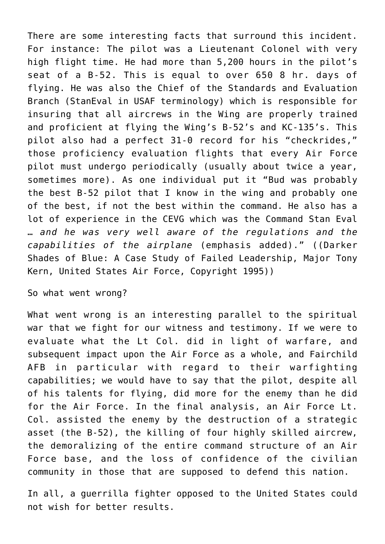There are some interesting facts that surround this incident. For instance: The pilot was a Lieutenant Colonel with very high flight time. He had more than 5,200 hours in the pilot's seat of a B-52. This is equal to over 650 8 hr. days of flying. He was also the Chief of the Standards and Evaluation Branch (StanEval in USAF terminology) which is responsible for insuring that all aircrews in the Wing are properly trained and proficient at flying the Wing's B-52's and KC-135's. This pilot also had a perfect 31-0 record for his "checkrides," those proficiency evaluation flights that every Air Force pilot must undergo periodically (usually about twice a year, sometimes more). As one individual put it "Bud was probably the best B-52 pilot that I know in the wing and probably one of the best, if not the best within the command. He also has a lot of experience in the CEVG which was the Command Stan Eval … *and he was very well aware of the regulations and the capabilities of the airplane* (emphasis added)." ((Darker Shades of Blue: A Case Study of Failed Leadership, Major Tony Kern, United States Air Force, Copyright 1995))

So what went wrong?

What went wrong is an interesting parallel to the spiritual war that we fight for our witness and testimony. If we were to evaluate what the Lt Col. did in light of warfare, and subsequent impact upon the Air Force as a whole, and Fairchild AFB in particular with regard to their warfighting capabilities; we would have to say that the pilot, despite all of his talents for flying, did more for the enemy than he did for the Air Force. In the final analysis, an Air Force Lt. Col. assisted the enemy by the destruction of a strategic asset (the B-52), the killing of four highly skilled aircrew, the demoralizing of the entire command structure of an Air Force base, and the loss of confidence of the civilian community in those that are supposed to defend this nation.

In all, a guerrilla fighter opposed to the United States could not wish for better results.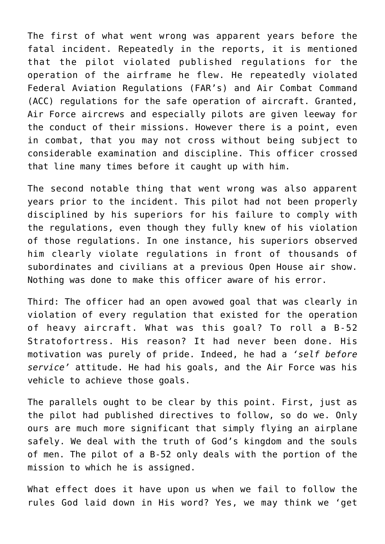The first of what went wrong was apparent years before the fatal incident. Repeatedly in the reports, it is mentioned that the pilot violated published regulations for the operation of the airframe he flew. He repeatedly violated Federal Aviation Regulations (FAR's) and Air Combat Command (ACC) regulations for the safe operation of aircraft. Granted, Air Force aircrews and especially pilots are given leeway for the conduct of their missions. However there is a point, even in combat, that you may not cross without being subject to considerable examination and discipline. This officer crossed that line many times before it caught up with him.

The second notable thing that went wrong was also apparent years prior to the incident. This pilot had not been properly disciplined by his superiors for his failure to comply with the regulations, even though they fully knew of his violation of those regulations. In one instance, his superiors observed him clearly violate regulations in front of thousands of subordinates and civilians at a previous Open House air show. Nothing was done to make this officer aware of his error.

Third: The officer had an open avowed goal that was clearly in violation of every regulation that existed for the operation of heavy aircraft. What was this goal? To roll a B-52 Stratofortress. His reason? It had never been done. His motivation was purely of pride. Indeed, he had a *'self before service'* attitude. He had his goals, and the Air Force was his vehicle to achieve those goals.

The parallels ought to be clear by this point. First, just as the pilot had published directives to follow, so do we. Only ours are much more significant that simply flying an airplane safely. We deal with the truth of God's kingdom and the souls of men. The pilot of a B-52 only deals with the portion of the mission to which he is assigned.

What effect does it have upon us when we fail to follow the rules God laid down in His word? Yes, we may think we 'get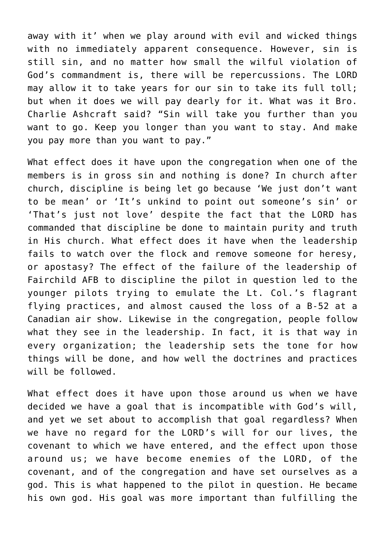away with it' when we play around with evil and wicked things with no immediately apparent consequence. However, sin is still sin, and no matter how small the wilful violation of God's commandment is, there will be repercussions. The LORD may allow it to take years for our sin to take its full toll; but when it does we will pay dearly for it. What was it Bro. Charlie Ashcraft said? "Sin will take you further than you want to go. Keep you longer than you want to stay. And make you pay more than you want to pay."

What effect does it have upon the congregation when one of the members is in gross sin and nothing is done? In church after church, discipline is being let go because 'We just don't want to be mean' or 'It's unkind to point out someone's sin' or 'That's just not love' despite the fact that the LORD has commanded that discipline be done to maintain purity and truth in His church. What effect does it have when the leadership fails to watch over the flock and remove someone for heresy, or apostasy? The effect of the failure of the leadership of Fairchild AFB to discipline the pilot in question led to the younger pilots trying to emulate the Lt. Col.'s flagrant flying practices, and almost caused the loss of a B-52 at a Canadian air show. Likewise in the congregation, people follow what they see in the leadership. In fact, it is that way in every organization; the leadership sets the tone for how things will be done, and how well the doctrines and practices will be followed.

What effect does it have upon those around us when we have decided we have a goal that is incompatible with God's will, and yet we set about to accomplish that goal regardless? When we have no regard for the LORD's will for our lives, the covenant to which we have entered, and the effect upon those around us; we have become enemies of the LORD, of the covenant, and of the congregation and have set ourselves as a god. This is what happened to the pilot in question. He became his own god. His goal was more important than fulfilling the